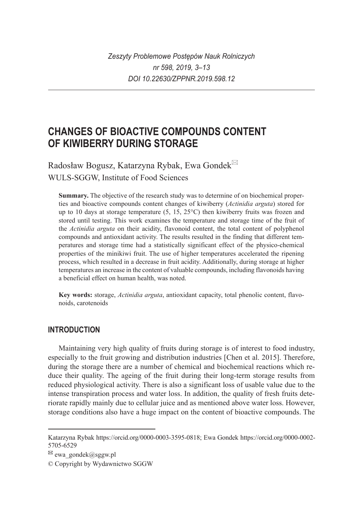# **CHANGES OF BIOACTIVE COMPOUNDS CONTENT OF KIWIBERRY DURING STORAGE**

Radosław Bogusz, Katarzyna Rybak, Ewa Gondek WULS-SGGW, Institute of Food Sciences

**Summary.** The objective of the research study was to determine of on biochemical properties and bioactive compounds content changes of kiwiberry (*Actinidia arguta*) stored for up to 10 days at storage temperature (5, 15, 25°C) then kiwiberry fruits was frozen and stored until testing. This work examines the temperature and storage time of the fruit of the *Actinidia arguta* on their acidity, flavonoid content, the total content of polyphenol compounds and antioxidant activity. The results resulted in the finding that different temperatures and storage time had a statistically significant effect of the physico-chemical properties of the minikiwi fruit. The use of higher temperatures accelerated the ripening process, which resulted in a decrease in fruit acidity. Additionally, during storage at higher temperatures an increase in the content of valuable compounds, including flavonoids having a beneficial effect on human health, was noted.

**Key words:** storage, *Actinidia arguta*, antioxidant capacity, total phenolic content, flavonoids, carotenoids

## **INTRODUCTION**

Maintaining very high quality of fruits during storage is of interest to food industry, especially to the fruit growing and distribution industries [Chen et al. 2015]. Therefore, during the storage there are a number of chemical and biochemical reactions which reduce their quality. The ageing of the fruit during their long-term storage results from reduced physiological activity. There is also a significant loss of usable value due to the intense transpiration process and water loss. In addition, the quality of fresh fruits deteriorate rapidly mainly due to cellular juice and as mentioned above water loss. However, storage conditions also have a huge impact on the content of bioactive compounds. The

Katarzyna Rybak https://orcid.org/0000-0003-3595-0818; Ewa Gondek https://orcid.org/0000-0002- 5705-6529

 $\boxtimes$  ewa\_gondek@sggw.pl

<sup>©</sup> Copyright by Wydawnictwo SGGW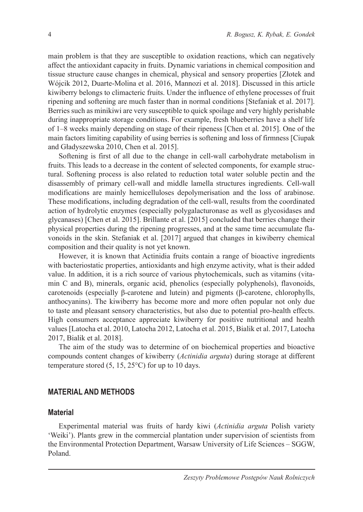main problem is that they are susceptible to oxidation reactions, which can negatively affect the antioxidant capacity in fruits. Dynamic variations in chemical composition and tissue structure cause changes in chemical, physical and sensory properties [Złotek and Wójcik 2012, Duarte-Molina et al. 2016, Mannozi et al. 2018]. Discussed in this article kiwiberry belongs to climacteric fruits. Under the influence of ethylene processes of fruit ripening and softening are much faster than in normal conditions [Stefaniak et al. 2017]. Berries such as minikiwi are very susceptible to quick spoilage and very highly perishable during inappropriate storage conditions. For example, fresh blueberries have a shelf life of 1–8 weeks mainly depending on stage of their ripeness [Chen et al. 2015]. One of the main factors limiting capability of using berries is softening and loss of firmness [Ciupak and Gładyszewska 2010, Chen et al. 2015].

Softening is first of all due to the change in cell-wall carbohydrate metabolism in fruits. This leads to a decrease in the content of selected components, for example structural. Softening process is also related to reduction total water soluble pectin and the disassembly of primary cell-wall and middle lamella structures ingredients. Cell-wall modifications are mainly hemicelluloses depolymerisation and the loss of arabinose. These modifications, including degradation of the cell-wall, results from the coordinated action of hydrolytic enzymes (especially polygalacturonase as well as glycosidases and glycanases) [Chen et al. 2015]. Brillante et al. [2015] concluded that berries change their physical properties during the ripening progresses, and at the same time accumulate flavonoids in the skin. Stefaniak et al. [2017] argued that changes in kiwiberry chemical composition and their quality is not yet known.

However, it is known that Actinidia fruits contain a range of bioactive ingredients with bacteriostatic properties, antioxidants and high enzyme activity, what is their added value. In addition, it is a rich source of various phytochemicals, such as vitamins (vitamin C and B), minerals, organic acid, phenolics (especially polyphenols), flavonoids, carotenoids (especially β-carotene and lutein) and pigments (β-carotene, chlorophylls, anthocyanins). The kiwiberry has become more and more often popular not only due to taste and pleasant sensory characteristics, but also due to potential pro-health effects. High consumers acceptance appreciate kiwiberry for positive nutritional and health values [Latocha et al. 2010, Latocha 2012, Latocha et al. 2015, Bialik et al. 2017, Latocha 2017, Bialik et al. 2018].

The aim of the study was to determine of on biochemical properties and bioactive compounds content changes of kiwiberry (*Actinidia arguta*) during storage at different temperature stored  $(5, 15, 25^{\circ}C)$  for up to 10 days.

#### **MATERIAL AND METHODS**

## **Material**

Experimental material was fruits of hardy kiwi (*Actinidia arguta* Polish variety 'Weiki'). Plants grew in the commercial plantation under supervision of scientists from the Environmental Protection Department, Warsaw University of Life Sciences – SGGW, Poland.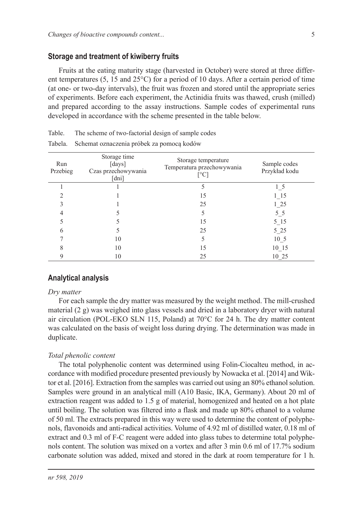#### **Storage and treatment of kiwiberry fruits**

Fruits at the eating maturity stage (harvested in October) were stored at three different temperatures (5, 15 and  $25^{\circ}$ C) for a period of 10 days. After a certain period of time (at one- or two-day intervals), the fruit was frozen and stored until the appropriate series of experiments. Before each experiment, the Actinidia fruits was thawed, crush (milled) and prepared according to the assay instructions. Sample codes of experimental runs developed in accordance with the scheme presented in the table below.

| Run<br>Przebieg | Storage time<br>[days]<br>Czas przechowywania<br>[dni] | Storage temperature<br>Temperatura przechowywania<br>$\lceil$ °C] | Sample codes<br>Przykład kodu |
|-----------------|--------------------------------------------------------|-------------------------------------------------------------------|-------------------------------|
|                 |                                                        |                                                                   | $1\,5$                        |
|                 |                                                        | 15                                                                | 1 15                          |
|                 |                                                        | 25                                                                | 1 25                          |
|                 |                                                        |                                                                   | $5\_5$                        |
|                 |                                                        | 15                                                                | $5 - 15$                      |
| h               |                                                        | 25                                                                | 525                           |
|                 | 10                                                     |                                                                   | 10 <sub>5</sub>               |
|                 | 10                                                     | 15                                                                | 10 15                         |
|                 | 10                                                     | 25                                                                | 10 25                         |

| Table.<br>The scheme of two-factorial design of sample codes |
|--------------------------------------------------------------|
|--------------------------------------------------------------|

Tabela. Schemat oznaczenia próbek za pomocą kodów

#### **Analytical analysis**

#### *Dry matter*

For each sample the dry matter was measured by the weight method. The mill-crushed material (2 g) was weighed into glass vessels and dried in a laboratory dryer with natural air circulation (POL-EKO SLN 115, Poland) at 70°C for 24 h. The dry matter content was calculated on the basis of weight loss during drying. The determination was made in duplicate.

#### *Total phenolic content*

The total polyphenolic content was determined using Folin-Ciocalteu method, in accordance with modified procedure presented previously by Nowacka et al. [2014] and Wiktor et al. [2016]. Extraction from the samples was carried out using an 80% ethanol solution. Samples were ground in an analytical mill (A10 Basic, IKA, Germany). About 20 ml of extraction reagent was added to 1.5 g of material, homogenized and heated on a hot plate until boiling. The solution was filtered into a flask and made up 80% ethanol to a volume of 50 ml. The extracts prepared in this way were used to determine the content of polyphenols, flavonoids and anti-radical activities. Volume of 4.92 ml of distilled water, 0.18 ml of extract and 0.3 ml of F-C reagent were added into glass tubes to determine total polyphenols content. The solution was mixed on a vortex and after 3 min 0.6 ml of 17.7% sodium carbonate solution was added, mixed and stored in the dark at room temperature for 1 h.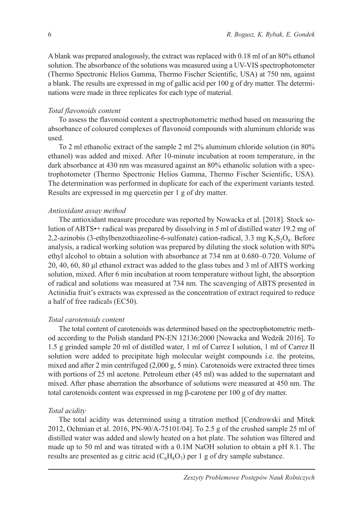A blank was prepared analogously, the extract was replaced with 0.18 ml of an 80% ethanol solution. The absorbance of the solutions was measured using a UV-VIS spectrophotometer (Thermo Spectronic Helios Gamma, Thermo Fischer Scientific, USA) at 750 nm, against a blank. The results are expressed in mg of gallic acid per 100 g of dry matter. The determinations were made in three replicates for each type of material.

#### *Total flavonoids content*

To assess the flavonoid content a spectrophotometric method based on measuring the absorbance of coloured complexes of flavonoid compounds with aluminum chloride was used.

To 2 ml ethanolic extract of the sample 2 ml 2% aluminum chloride solution (in 80% ethanol) was added and mixed. After 10-minute incubation at room temperature, in the dark absorbance at 430 nm was measured against an 80% ethanolic solution with a spectrophotometer (Thermo Spectronic Helios Gamma, Thermo Fischer Scientific, USA). The determination was performed in duplicate for each of the experiment variants tested. Results are expressed in mg quercetin per 1 g of dry matter.

#### *Antioxidant assay method*

The antioxidant measure procedure was reported by Nowacka et al. [2018]. Stock solution of ABTS•+ radical was prepared by dissolving in 5 ml of distilled water 19.2 mg of 2,2-azinobis (3-ethylbenzothiazoline-6-sulfonate) cation-radical, 3.3 mg  $K_2S_2O_8$ . Before analysis, a radical working solution was prepared by diluting the stock solution with 80% ethyl alcohol to obtain a solution with absorbance at 734 nm at 0.680–0.720. Volume of 20, 40, 60, 80 μl ethanol extract was added to the glass tubes and 3 ml of ABTS working solution, mixed. After 6 min incubation at room temperature without light, the absorption of radical and solutions was measured at 734 nm. The scavenging of ABTS presented in Actinidia fruit's extracts was expressed as the concentration of extract required to reduce a half of free radicals (EC50).

#### *Total carotenoids content*

The total content of carotenoids was determined based on the spectrophotometric method according to the Polish standard PN-EN 12136:2000 [Nowacka and Wedzik 2016]. To 1.5 g grinded sample 20 ml of distilled water, 1 ml of Carrez I solution, 1 ml of Carrez II solution were added to precipitate high molecular weight compounds i.e. the proteins, mixed and after 2 min centrifuged (2,000 g, 5 min). Carotenoids were extracted three times with portions of 25 ml acetone. Petroleum ether (45 ml) was added to the supernatant and mixed. After phase aberration the absorbance of solutions were measured at 450 nm. The total carotenoids content was expressed in mg β-carotene per 100 g of dry matter.

#### *Total acidity*

The total acidity was determined using a titration method [Cendrowski and Mitek 2012, Ochmian et al. 2016, PN-90/A-75101/04]. To 2.5 g of the crushed sample 25 ml of distilled water was added and slowly heated on a hot plate. The solution was filtered and made up to 50 ml and was titrated with a 0.1M NaOH solution to obtain a pH 8.1. The results are presented as g citric acid  $(C_6H_8O_7)$  per 1 g of dry sample substance.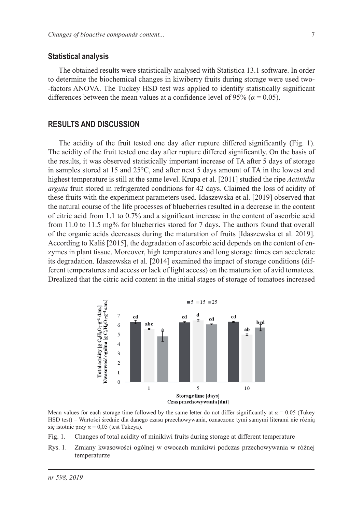#### **Statistical analysis**

The obtained results were statistically analysed with Statistica 13.1 software. In order to determine the biochemical changes in kiwiberry fruits during storage were used two- -factors ANOVA. The Tuckey HSD test was applied to identify statistically significant differences between the mean values at a confidence level of 95% ( $\alpha$  = 0.05).

#### **RESULTS AND DISCUSSION**

The acidity of the fruit tested one day after rupture differed significantly (Fig. 1). The acidity of the fruit tested one day after rupture differed significantly. On the basis of the results, it was observed statistically important increase of TA after 5 days of storage in samples stored at 15 and 25°C, and after next 5 days amount of TA in the lowest and highest temperature is still at the same level. Krupa et al. [2011] studied the ripe *Actinidia arguta* fruit stored in refrigerated conditions for 42 days. Claimed the loss of acidity of these fruits with the experiment parameters used. Idaszewska et al. [2019] observed that the natural course of the life processes of blueberries resulted in a decrease in the content of citric acid from 1.1 to 0.7% and a significant increase in the content of ascorbic acid from 11.0 to 11.5 mg% for blueberries stored for 7 days. The authors found that overall of the organic acids decreases during the maturation of fruits [Idaszewska et al. 2019]. According to Kaliś [2015], the degradation of ascorbic acid depends on the content of enzymes in plant tissue. Moreover, high temperatures and long storage times can accelerate its degradation. Idaszewska et al. [2014] examined the impact of storage conditions (different temperatures and access or lack of light access) on the maturation of avid tomatoes. Drealized that the citric acid content in the initial stages of storage of tomatoes increased



Mean values for each storage time followed by the same letter do not differ significantly at  $\alpha = 0.05$  (Tukey HSD test) – Wartości średnie dla danego czasu przechowywania, oznaczone tymi samymi literami nie różnią się istotnie przy  $\alpha$  = 0,05 (test Tukeya).

- Fig. 1. Changes of total acidity of minikiwi fruits during storage at different temperature
- Rys. 1. Zmiany kwasowości ogólnej w owocach minikiwi podczas przechowywania w różnej temperaturze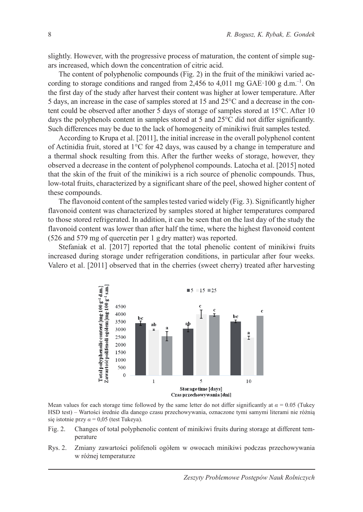slightly. However, with the progressive process of maturation, the content of simple sugars increased, which down the concentration of citric acid.

The content of polyphenolic compounds (Fig. 2) in the fruit of the minikiwi varied according to storage conditions and ranged from 2,456 to 4,011 mg GAE·100 g d.m.<sup>-1</sup>. On the first day of the study after harvest their content was higher at lower temperature. After 5 days, an increase in the case of samples stored at 15 and 25°C and a decrease in the content could be observed after another 5 days of storage of samples stored at 15°C. After 10 days the polyphenols content in samples stored at 5 and 25°C did not differ significantly. Such differences may be due to the lack of homogeneity of minikiwi fruit samples tested.

According to Krupa et al. [2011], the initial increase in the overall polyphenol content of Actinidia fruit, stored at 1°C for 42 days, was caused by a change in temperature and a thermal shock resulting from this. After the further weeks of storage, however, they observed a decrease in the content of polyphenol compounds. Latocha et al. [2015] noted that the skin of the fruit of the minikiwi is a rich source of phenolic compounds. Thus, low-total fruits, characterized by a significant share of the peel, showed higher content of these compounds.

The flavonoid content of the samples tested varied widely (Fig. 3). Significantly higher flavonoid content was characterized by samples stored at higher temperatures compared to those stored refrigerated. In addition, it can be seen that on the last day of the study the flavonoid content was lower than after half the time, where the highest flavonoid content (526 and 579 mg of quercetin per 1 g dry matter) was reported.

Stefaniak et al. [2017] reported that the total phenolic content of minikiwi fruits increased during storage under refrigeration conditions, in particular after four weeks. Valero et al. [2011] observed that in the cherries (sweet cherry) treated after harvesting



Mean values for each storage time followed by the same letter do not differ significantly at  $\alpha = 0.05$  (Tukey HSD test) – Wartości średnie dla danego czasu przechowywania, oznaczone tymi samymi literami nie różnią się istotnie przy *α* = 0,05 (test Tukeya).

- Fig. 2. Changes of total polyphenolic content of minikiwi fruits during storage at different temperature
- Rys. 2. Zmiany zawartości polifenoli ogółem w owocach minikiwi podczas przechowywania w różnej temperaturze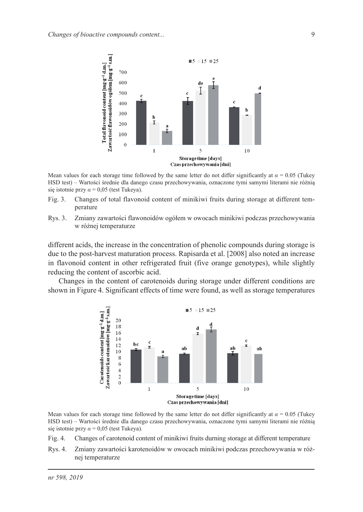

Mean values for each storage time followed by the same letter do not differ significantly at  $\alpha = 0.05$  (Tukey HSD test) – Wartości średnie dla danego czasu przechowywania, oznaczone tymi samymi literami nie różnią się istotnie przy *α* = 0,05 (test Tukeya).

- Fig. 3. Changes of total flavonoid content of minikiwi fruits during storage at different temperature
- Rys. 3. Zmiany zawartości flawonoidów ogółem w owocach minikiwi podczas przechowywania w różnej temperaturze

different acids, the increase in the concentration of phenolic compounds during storage is due to the post-harvest maturation process. Rapisarda et al. [2008] also noted an increase in flavonoid content in other refrigerated fruit (five orange genotypes), while slightly reducing the content of ascorbic acid.

Changes in the content of carotenoids during storage under different conditions are shown in Figure 4. Significant effects of time were found, as well as storage temperatures



Mean values for each storage time followed by the same letter do not differ significantly at  $\alpha = 0.05$  (Tukey HSD test) – Wartości średnie dla danego czasu przechowywania, oznaczone tymi samymi literami nie różnią się istotnie przy  $\alpha$  = 0,05 (test Tukeya).

Fig. 4. Changes of carotenoid content of minikiwi fruits durning storage at different temperature

Rys. 4. Zmiany zawartości karotenoidów w owocach minikiwi podczas przechowywania w różnej temperaturze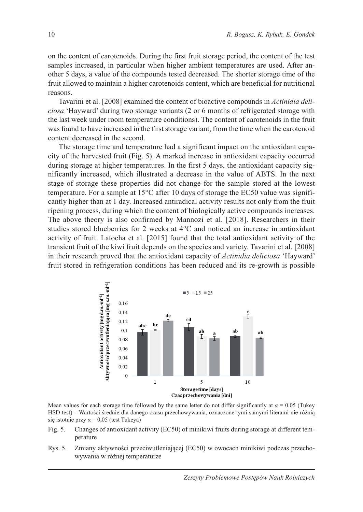on the content of carotenoids. During the first fruit storage period, the content of the test samples increased, in particular when higher ambient temperatures are used. After another 5 days, a value of the compounds tested decreased. The shorter storage time of the fruit allowed to maintain a higher carotenoids content, which are beneficial for nutritional reasons.

Tavarini et al. [2008] examined the content of bioactive compounds in *Actinidia deliciosa* 'Hayward' during two storage variants (2 or 6 months of refrigerated storage with the last week under room temperature conditions). The content of carotenoids in the fruit was found to have increased in the first storage variant, from the time when the carotenoid content decreased in the second.

The storage time and temperature had a significant impact on the antioxidant capacity of the harvested fruit (Fig. 5). A marked increase in antioxidant capacity occurred during storage at higher temperatures. In the first 5 days, the antioxidant capacity significantly increased, which illustrated a decrease in the value of ABTS. In the next stage of storage these properties did not change for the sample stored at the lowest temperature. For a sample at  $15^{\circ}$ C after 10 days of storage the EC50 value was significantly higher than at 1 day. Increased antiradical activity results not only from the fruit ripening process, during which the content of biologically active compounds increases. The above theory is also confirmed by Mannozi et al. [2018]. Researchers in their studies stored blueberries for 2 weeks at 4°C and noticed an increase in antioxidant activity of fruit. Latocha et al. [2015] found that the total antioxidant activity of the transient fruit of the kiwi fruit depends on the species and variety. Tavarini et al. [2008] in their research proved that the antioxidant capacity of *Actinidia deliciosa* 'Hayward' fruit stored in refrigeration conditions has been reduced and its re-growth is possible



Mean values for each storage time followed by the same letter do not differ significantly at  $\alpha = 0.05$  (Tukey HSD test) – Wartości średnie dla danego czasu przechowywania, oznaczone tymi samymi literami nie różnią się istotnie przy  $\alpha$  = 0,05 (test Tukeya)

- Fig. 5. Changes of antioxidant activity (EC50) of minikiwi fruits during storage at different temperature
- Rys. 5. Zmiany aktywności przeciwutleniającej (EC50) w owocach minikiwi podczas przechowywania w różnej temperaturze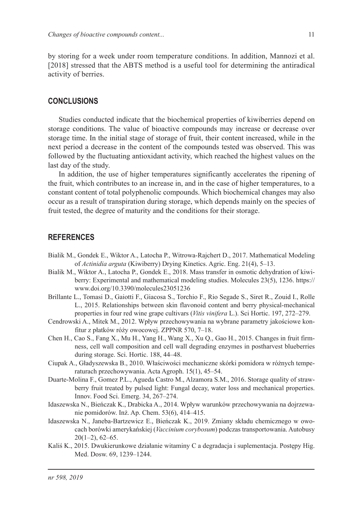by storing for a week under room temperature conditions. In addition, Mannozi et al. [2018] stressed that the ABTS method is a useful tool for determining the antiradical activity of berries.

## **CONCLUSIONS**

Studies conducted indicate that the biochemical properties of kiwiberries depend on storage conditions. The value of bioactive compounds may increase or decrease over storage time. In the initial stage of storage of fruit, their content increased, while in the next period a decrease in the content of the compounds tested was observed. This was followed by the fluctuating antioxidant activity, which reached the highest values on the last day of the study.

In addition, the use of higher temperatures significantly accelerates the ripening of the fruit, which contributes to an increase in, and in the case of higher temperatures, to a constant content of total polyphenolic compounds. Which biochemical changes may also occur as a result of transpiration during storage, which depends mainly on the species of fruit tested, the degree of maturity and the conditions for their storage.

## **REFERENCES**

- Bialik M., Gondek E., Wiktor A., Latocha P., Witrowa-Rajchert D., 2017. Mathematical Modeling of *Actinidia arguta* (Kiwiberry) Drying Kinetics. Agric. Eng. 21(4), 5–13.
- Bialik M., Wiktor A., Latocha P., Gondek E., 2018. Mass transfer in osmotic dehydration of kiwiberry: Experimental and mathematical modeling studies. Molecules 23(5), 1236. https:// www.doi.org/10.3390/molecules23051236
- Brillante L., Tomasi D., Gaiotti F., Giacosa S., Torchio F., Rio Segade S., Siret R., Zouid I., Rolle L., 2015. Relationships between skin flavonoid content and berry physical-mechanical properties in four red wine grape cultivars (*Vitis vinifera* L.). Sci Hortic. 197, 272–279.
- Cendrowski A., Mitek M., 2012. Wpływ przechowywania na wybrane parametry jakościowe konfitur z płatków róży owocowej. ZPPNR 570, 7–18.
- Chen H., Cao S., Fang X., Mu H., Yang H., Wang X., Xu Q., Gao H., 2015. Changes in fruit firmness, cell wall composition and cell wall degrading enzymes in postharvest blueberries during storage. Sci. Hortic. 188, 44–48.
- Ciupak A., Gładyszewska B., 2010. Właściwości mechaniczne skórki pomidora w różnych temperaturach przechowywania. Acta Agroph. 15(1), 45–54.
- Duarte-Molina F., Gomez P.L., Agueda Castro M., Alzamora S.M., 2016. Storage quality of strawberry fruit treated by pulsed light: Fungal decay, water loss and mechanical properties. Innov. Food Sci. Emerg. 34, 267–274.
- Idaszewska N., Bieńczak K., Drabicka A., 2014. Wpływ warunków przechowywania na dojrzewanie pomidorów. Inż. Ap. Chem. 53(6), 414–415.
- Idaszewska N., Janeba-Bartzewicz E., Bieńczak K., 2019. Zmiany składu chemicznego w owocach borówki amerykańskiej (*Vaccinium corybosum*) podczas transportowania. Autobusy  $20(1-2)$ , 62-65.
- Kaliś K., 2015. Dwukierunkowe działanie witaminy C a degradacja i suplementacja. Postępy Hig. Med. Dosw. 69, 1239–1244.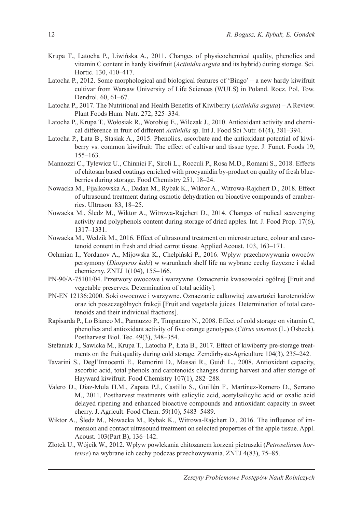- Krupa T., Latocha P., Liwińska A., 2011. Changes of physicochemical quality, phenolics and vitamin C content in hardy kiwifruit (*Actinidia arguta* and its hybrid) during storage. Sci. Hortic. 130, 410–417.
- Latocha P., 2012. Some morphological and biological features of 'Bingo' a new hardy kiwifruit cultivar from Warsaw University of Life Sciences (WULS) in Poland. Rocz. Pol. Tow. Dendrol. 60, 61–67.
- Latocha P., 2017. The Nutritional and Health Benefits of Kiwiberry (*Actinidia arguta*) A Review. Plant Foods Hum. Nutr. 272, 325–334.
- Latocha P., Krupa T., Wołosiak R., Worobiej E., Wilczak J., 2010. Antioxidant activity and chemical difference in fruit of different *Actinidia* sp. Int J. Food Sci Nutr. 61(4), 381–394.
- Latocha P., Łata B., Stasiak A., 2015. Phenolics, ascorbate and the antioxidant potential of kiwiberry vs. common kiwifruit: The effect of cultivar and tissue type. J. Funct. Foods 19, 155–163.
- Mannozzi C., Tylewicz U., Chinnici F., Siroli L., Rocculi P., Rosa M.D., Romani S., 2018. Effects of chitosan based coatings enriched with procyanidin by-product on quality of fresh blueberries during storage. Food Chemistry 251, 18–24.
- Nowacka M., Fijalkowska A., Dadan M., Rybak K., Wiktor A., Witrowa-Rajchert D., 2018. Effect of ultrasound treatment during osmotic dehydration on bioactive compounds of cranberries. Ultrason. 83, 18–25.
- Nowacka M., Śledz M., Wiktor A., Witrowa-Rajchert D., 2014. Changes of radical scavenging activity and polyphenols content during storage of dried apples. Int. J. Food Prop. 17(6), 1317–1331.
- Nowacka M., Wedzik M., 2016. Effect of ultrasound treatment on microstructure, colour and carotenoid content in fresh and dried carrot tissue. Applied Acoust. 103, 163–171.
- Ochmian I., Yordanov A., Mijowska K., Chełpiński P., 2016. Wpływ przechowywania owoców persymony (*Diospyros kaki*) w warunkach shelf life na wybrane cechy fizyczne i skład chemiczny. ZNTJ 1(104), 155–166.
- PN-90/A-75101/04. Przetwory owocowe i warzywne. Oznaczenie kwasowości ogólnej [Fruit and vegetable preserves. Determination of total acidity].
- PN-EN 12136:2000. Soki owocowe i warzywne. Oznaczanie całkowitej zawartości karotenoidów oraz ich poszczególnych frakcji [Fruit and vegetable juices. Determination of total carotenoids and their individual fractions].
- Rapisarda P., Lo Bianco M., Pannuzzo P., Timpanaro N., 2008. Effect of cold storage on vitamin C, phenolics and antioxidant activity of five orange genotypes (*Citrus sinensis* (L.) Osbeck). Postharvest Biol. Tec. 49(3), 348–354.
- Stefaniak J., Sawicka M., Krupa T., Latocha P., Łata B., 2017. Effect of kiwiberry pre-storage treatments on the fruit quality during cold storage. Zemdirbyste-Agriculture 104(3), 235–242.
- Tavarini S., Degl'Innocenti E., Remorini D., Massai R., Guidi L., 2008. Antioxidant capacity, ascorbic acid, total phenols and carotenoids changes during harvest and after storage of Hayward kiwifruit. Food Chemistry 107(1), 282–288.
- Valero D., Diaz-Mula H.M., Zapata P.J., Castillo S., Guillén F., Martinez-Romero D., Serrano M., 2011. Postharvest treatments with salicylic acid, acetylsalicylic acid or oxalic acid delayed ripening and enhanced bioactive compounds and antioxidant capacity in sweet cherry. J. Agricult. Food Chem. 59(10), 5483–5489.
- Wiktor A., Śledz M., Nowacka M., Rybak K., Witrowa-Rajchert D., 2016. The influence of immersion and contact ultrasound treatment on selected properties of the apple tissue. Appl. Acoust. 103(Part B), 136–142.
- Złotek U., Wójcik W., 2012. Wpływ powlekania chitozanem korzeni pietruszki (*Petroselinum hortense*) na wybrane ich cechy podczas przechowywania. ŻNTJ 4(83), 75–85.